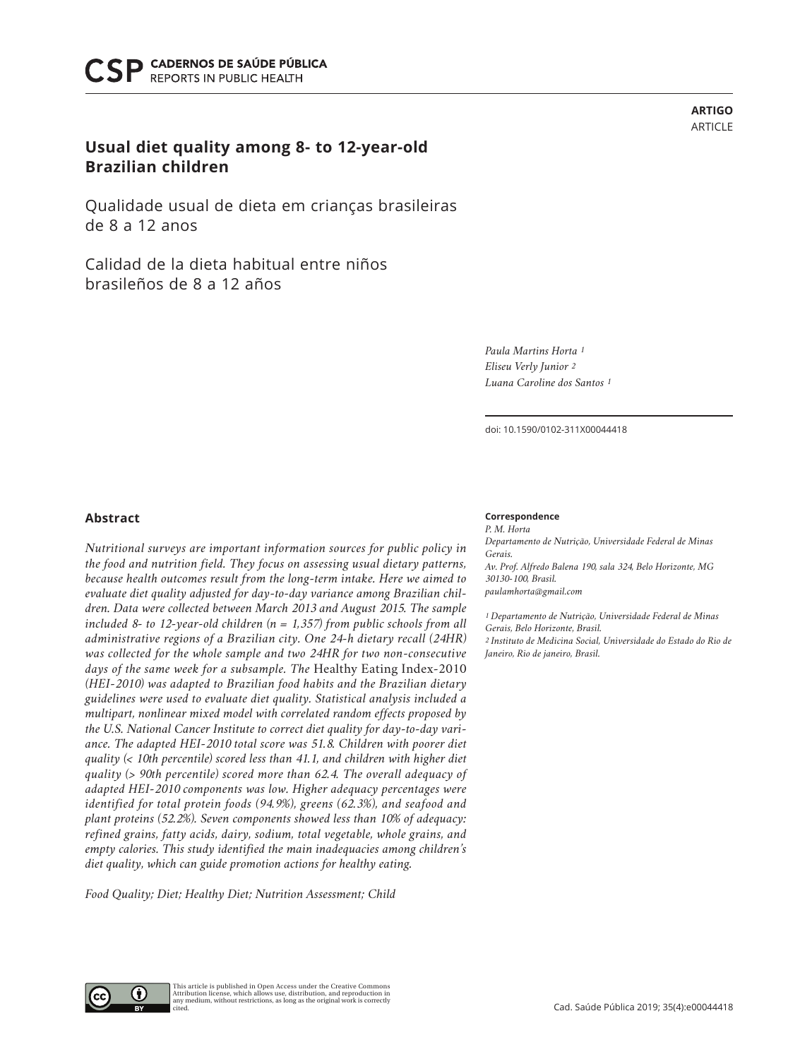# **Usual diet quality among 8- to 12-year-old Brazilian children**

Qualidade usual de dieta em crianças brasileiras de 8 a 12 anos

Calidad de la dieta habitual entre niños brasileños de 8 a 12 años

> *Paula Martins Horta 1 Eliseu Verly Junior 2 Luana Caroline dos Santos 1*

doi: 10.1590/0102-311X00044418

## **Abstract**

*Nutritional surveys are important information sources for public policy in the food and nutrition field. They focus on assessing usual dietary patterns, because health outcomes result from the long-term intake. Here we aimed to evaluate diet quality adjusted for day-to-day variance among Brazilian children. Data were collected between March 2013 and August 2015. The sample included 8- to 12-year-old children (n = 1,357) from public schools from all administrative regions of a Brazilian city. One 24-h dietary recall (24HR) was collected for the whole sample and two 24HR for two non-consecutive days of the same week for a subsample. The* Healthy Eating Index-2010 *(HEI-2010) was adapted to Brazilian food habits and the Brazilian dietary guidelines were used to evaluate diet quality. Statistical analysis included a multipart, nonlinear mixed model with correlated random effects proposed by the U.S. National Cancer Institute to correct diet quality for day-to-day variance. The adapted HEI-2010 total score was 51.8. Children with poorer diet quality (< 10th percentile) scored less than 41.1, and children with higher diet quality (> 90th percentile) scored more than 62.4. The overall adequacy of adapted HEI-2010 components was low. Higher adequacy percentages were identified for total protein foods (94.9%), greens (62.3%), and seafood and plant proteins (52.2%). Seven components showed less than 10% of adequacy: refined grains, fatty acids, dairy, sodium, total vegetable, whole grains, and empty calories. This study identified the main inadequacies among children's diet quality, which can guide promotion actions for healthy eating.*

*Food Quality; Diet; Healthy Diet; Nutrition Assessment; Child*

This article is published in Open Access under the Creative Commons Attribution license, which allows use, distribution, and reproduction in any medium, without restrictions, as long as the original work is correctly

### **Correspondence**

*P. M. Horta Departamento de Nutrição, Universidade Federal de Minas Gerais. Av. Prof. Alfredo Balena 190, sala 324, Belo Horizonte, MG 30130-100, Brasil. paulamhorta@gmail.com*

*1 Departamento de Nutrição, Universidade Federal de Minas Gerais, Belo Horizonte, Brasil. 2 Instituto de Medicina Social, Universidade do Estado do Rio de Janeiro, Rio de janeiro, Brasil.*



cited.



**ARTIGO** ARTICLE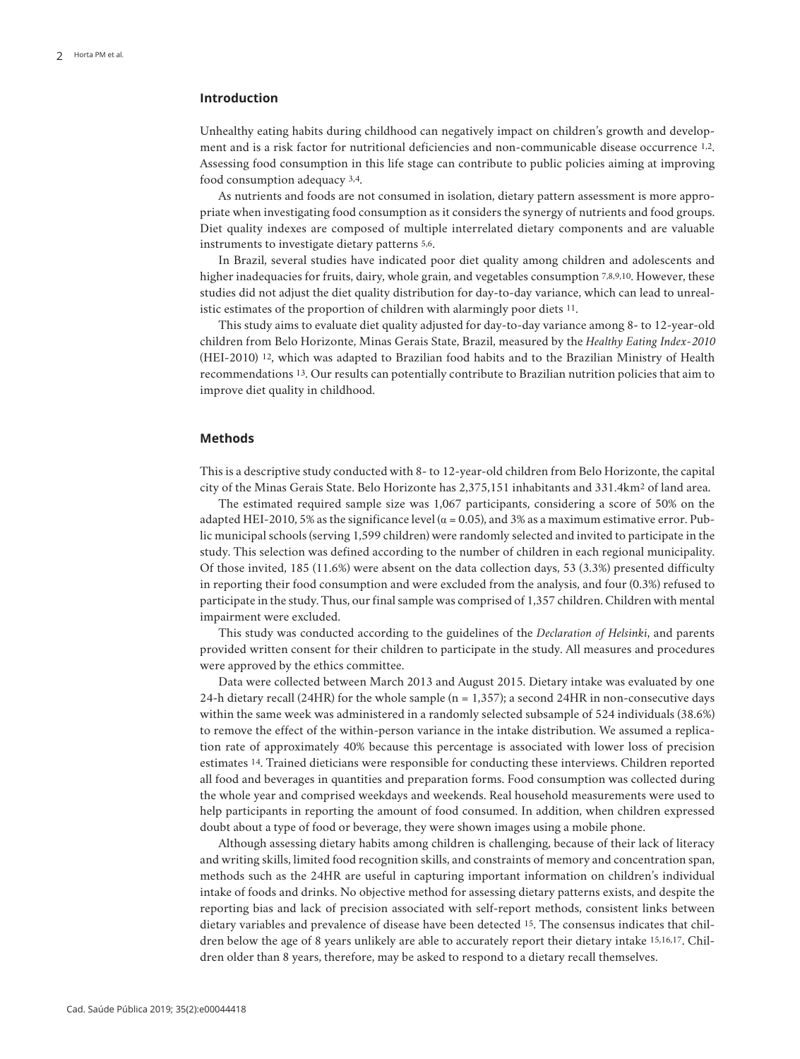## **Introduction**

Unhealthy eating habits during childhood can negatively impact on children's growth and development and is a risk factor for nutritional deficiencies and non-communicable disease occurrence 1,2. Assessing food consumption in this life stage can contribute to public policies aiming at improving food consumption adequacy 3,4.

As nutrients and foods are not consumed in isolation, dietary pattern assessment is more appropriate when investigating food consumption as it considers the synergy of nutrients and food groups. Diet quality indexes are composed of multiple interrelated dietary components and are valuable instruments to investigate dietary patterns 5,6.

In Brazil, several studies have indicated poor diet quality among children and adolescents and higher inadequacies for fruits, dairy, whole grain, and vegetables consumption 7,8,9,10. However, these studies did not adjust the diet quality distribution for day-to-day variance, which can lead to unrealistic estimates of the proportion of children with alarmingly poor diets 11.

This study aims to evaluate diet quality adjusted for day-to-day variance among 8- to 12-year-old children from Belo Horizonte, Minas Gerais State, Brazil, measured by the *Healthy Eating Index-2010* (HEI-2010) 12, which was adapted to Brazilian food habits and to the Brazilian Ministry of Health recommendations 13. Our results can potentially contribute to Brazilian nutrition policies that aim to improve diet quality in childhood.

### **Methods**

This is a descriptive study conducted with 8- to 12-year-old children from Belo Horizonte, the capital city of the Minas Gerais State. Belo Horizonte has 2,375,151 inhabitants and 331.4km2 of land area.

The estimated required sample size was 1,067 participants, considering a score of 50% on the adapted HEI-2010, 5% as the significance level ( $\alpha$  = 0.05), and 3% as a maximum estimative error. Public municipal schools (serving 1,599 children) were randomly selected and invited to participate in the study. This selection was defined according to the number of children in each regional municipality. Of those invited, 185 (11.6%) were absent on the data collection days, 53 (3.3%) presented difficulty in reporting their food consumption and were excluded from the analysis, and four (0.3%) refused to participate in the study. Thus, our final sample was comprised of 1,357 children. Children with mental impairment were excluded.

This study was conducted according to the guidelines of the *Declaration of Helsinki*, and parents provided written consent for their children to participate in the study. All measures and procedures were approved by the ethics committee.

Data were collected between March 2013 and August 2015. Dietary intake was evaluated by one 24-h dietary recall (24HR) for the whole sample ( $n = 1,357$ ); a second 24HR in non-consecutive days within the same week was administered in a randomly selected subsample of 524 individuals (38.6%) to remove the effect of the within-person variance in the intake distribution. We assumed a replication rate of approximately 40% because this percentage is associated with lower loss of precision estimates 14. Trained dieticians were responsible for conducting these interviews. Children reported all food and beverages in quantities and preparation forms. Food consumption was collected during the whole year and comprised weekdays and weekends. Real household measurements were used to help participants in reporting the amount of food consumed. In addition, when children expressed doubt about a type of food or beverage, they were shown images using a mobile phone.

Although assessing dietary habits among children is challenging, because of their lack of literacy and writing skills, limited food recognition skills, and constraints of memory and concentration span, methods such as the 24HR are useful in capturing important information on children's individual intake of foods and drinks. No objective method for assessing dietary patterns exists, and despite the reporting bias and lack of precision associated with self-report methods, consistent links between dietary variables and prevalence of disease have been detected 15. The consensus indicates that children below the age of 8 years unlikely are able to accurately report their dietary intake 15,16,17. Children older than 8 years, therefore, may be asked to respond to a dietary recall themselves.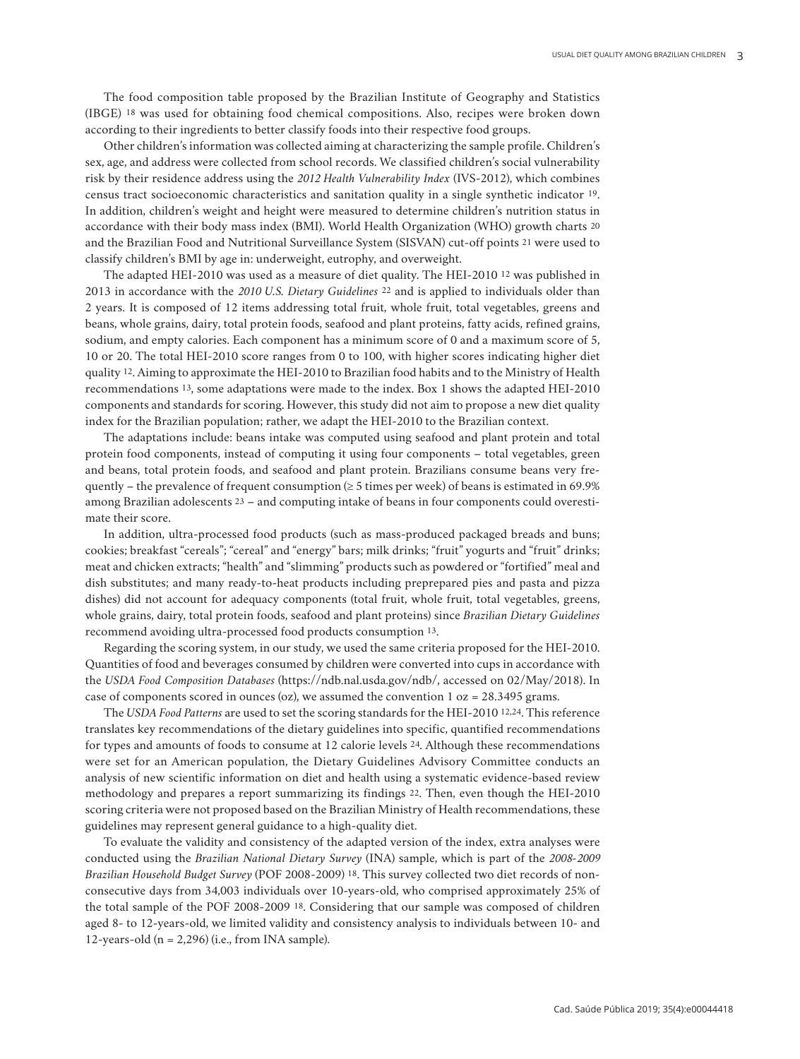The food composition table proposed by the Brazilian Institute of Geography and Statistics (IBGE) 18 was used for obtaining food chemical compositions. Also, recipes were broken down according to their ingredients to better classify foods into their respective food groups.

Other children's information was collected aiming at characterizing the sample profile. Children's sex, age, and address were collected from school records. We classified children's social vulnerability risk by their residence address using the *2012 Health Vulnerability Index* (IVS-2012), which combines census tract socioeconomic characteristics and sanitation quality in a single synthetic indicator 19. In addition, children's weight and height were measured to determine children's nutrition status in accordance with their body mass index (BMI). World Health Organization (WHO) growth charts 20 and the Brazilian Food and Nutritional Surveillance System (SISVAN) cut-off points 21 were used to classify children's BMI by age in: underweight, eutrophy, and overweight.

The adapted HEI-2010 was used as a measure of diet quality. The HEI-2010 12 was published in 2013 in accordance with the *2010 U.S. Dietary Guidelines* 22 and is applied to individuals older than 2 years. It is composed of 12 items addressing total fruit, whole fruit, total vegetables, greens and beans, whole grains, dairy, total protein foods, seafood and plant proteins, fatty acids, refined grains, sodium, and empty calories. Each component has a minimum score of 0 and a maximum score of 5, 10 or 20. The total HEI-2010 score ranges from 0 to 100, with higher scores indicating higher diet quality 12. Aiming to approximate the HEI-2010 to Brazilian food habits and to the Ministry of Health recommendations 13, some adaptations were made to the index. Box 1 shows the adapted HEI-2010 components and standards for scoring. However, this study did not aim to propose a new diet quality index for the Brazilian population; rather, we adapt the HEI-2010 to the Brazilian context.

The adaptations include: beans intake was computed using seafood and plant protein and total protein food components, instead of computing it using four components – total vegetables, green and beans, total protein foods, and seafood and plant protein. Brazilians consume beans very frequently – the prevalence of frequent consumption ( $\geq$  5 times per week) of beans is estimated in 69.9% among Brazilian adolescents 23 – and computing intake of beans in four components could overestimate their score.

In addition, ultra-processed food products (such as mass-produced packaged breads and buns; cookies; breakfast "cereals"; "cereal" and "energy" bars; milk drinks; "fruit" yogurts and "fruit" drinks; meat and chicken extracts; "health" and "slimming" products such as powdered or "fortified" meal and dish substitutes; and many ready-to-heat products including preprepared pies and pasta and pizza dishes) did not account for adequacy components (total fruit, whole fruit, total vegetables, greens, whole grains, dairy, total protein foods, seafood and plant proteins) since *Brazilian Dietary Guidelines* recommend avoiding ultra-processed food products consumption 13.

Regarding the scoring system, in our study, we used the same criteria proposed for the HEI-2010. Quantities of food and beverages consumed by children were converted into cups in accordance with the *USDA Food Composition Databases* (https://ndb.nal.usda.gov/ndb/, accessed on 02/May/2018). In case of components scored in ounces (oz), we assumed the convention  $1 oz = 28.3495$  grams.

The *USDA Food Patterns* are used to set the scoring standards for the HEI-2010 12,24. This reference translates key recommendations of the dietary guidelines into specific, quantified recommendations for types and amounts of foods to consume at 12 calorie levels 24. Although these recommendations were set for an American population, the Dietary Guidelines Advisory Committee conducts an analysis of new scientific information on diet and health using a systematic evidence-based review methodology and prepares a report summarizing its findings 22. Then, even though the HEI-2010 scoring criteria were not proposed based on the Brazilian Ministry of Health recommendations, these guidelines may represent general guidance to a high-quality diet.

To evaluate the validity and consistency of the adapted version of the index, extra analyses were conducted using the *Brazilian National Dietary Survey* (INA) sample, which is part of the *2008-2009 Brazilian Household Budget Survey* (POF 2008-2009) 18. This survey collected two diet records of nonconsecutive days from 34,003 individuals over 10-years-old, who comprised approximately 25% of the total sample of the POF 2008-2009 18. Considering that our sample was composed of children aged 8- to 12-years-old, we limited validity and consistency analysis to individuals between 10- and 12-years-old ( $n = 2,296$ ) (i.e., from INA sample).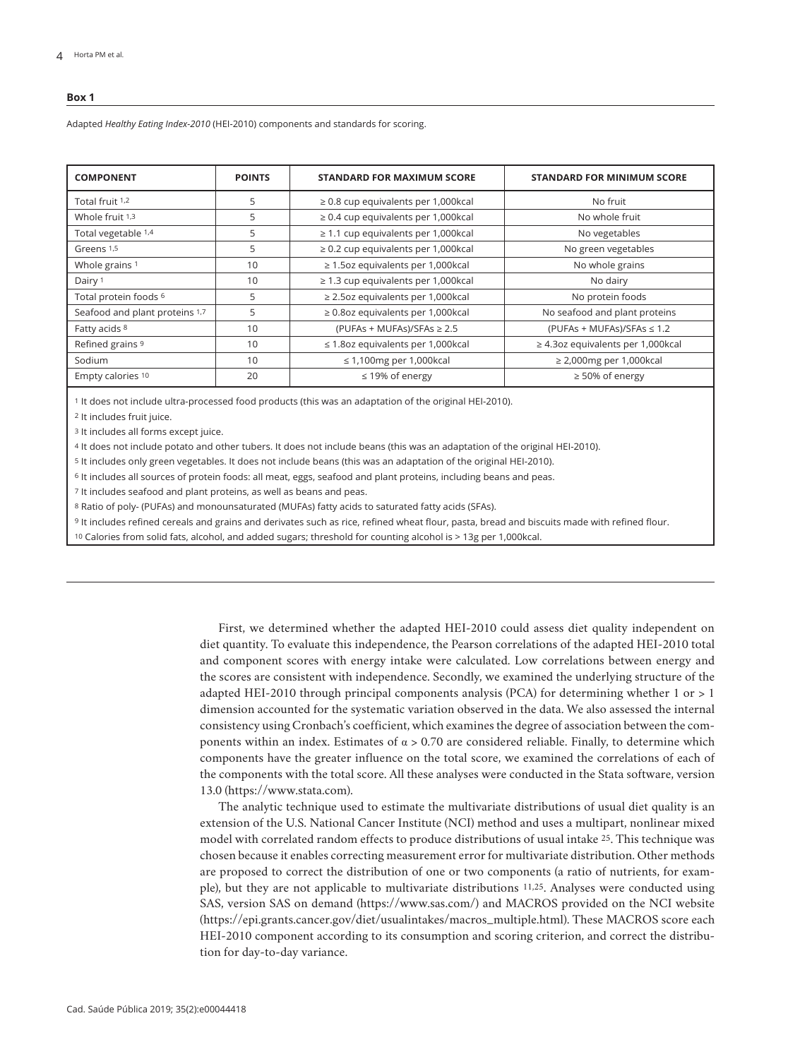#### **Box 1**

Adapted *Healthy Eating Index-2010* (HEI-2010) components and standards for scoring.

| <b>COMPONENT</b>               | <b>POINTS</b> | <b>STANDARD FOR MAXIMUM SCORE</b>         | <b>STANDARD FOR MINIMUM SCORE</b>       |
|--------------------------------|---------------|-------------------------------------------|-----------------------------------------|
| Total fruit 1,2                | 5             | $\geq$ 0.8 cup equivalents per 1,000 kcal | No fruit                                |
| Whole fruit 1,3                | 5             | $\geq$ 0.4 cup equivalents per 1,000 kcal | No whole fruit                          |
| Total vegetable 1,4            | 5             | $\geq$ 1.1 cup equivalents per 1,000 kcal | No vegetables                           |
| Greens 1,5                     | 5             | $\geq$ 0.2 cup equivalents per 1,000 kcal | No green vegetables                     |
| Whole grains 1                 | 10            | $\geq$ 1.5oz equivalents per 1,000 kcal   | No whole grains                         |
| Dairy <sup>1</sup>             | 10            | $\geq$ 1.3 cup equivalents per 1,000 kcal | No dairy                                |
| Total protein foods 6          | 5             | $\geq$ 2.5oz equivalents per 1,000 kcal   | No protein foods                        |
| Seafood and plant proteins 1,7 | 5             | $\geq$ 0.8oz equivalents per 1,000 kcal   | No seafood and plant proteins           |
| Fatty acids 8                  | 10            | (PUFAs + MUFAs)/SFAs $\ge$ 2.5            | (PUFAs + MUFAs)/SFAs $\leq 1.2$         |
| Refined grains 9               | 10            | $\leq$ 1.80z equivalents per 1,000kcal    | $\geq$ 4.3oz equivalents per 1,000 kcal |
| Sodium                         | 10            | $\leq$ 1,100mg per 1,000kcal              | $\geq$ 2,000mg per 1,000kcal            |
| Empty calories 10              | 20            | $\leq$ 19% of energy                      | $\geq$ 50% of energy                    |

1 It does not include ultra-processed food products (this was an adaptation of the original HEI-2010).

2 It includes fruit juice.

3 It includes all forms except juice.

4 It does not include potato and other tubers. It does not include beans (this was an adaptation of the original HEI-2010).

5 It includes only green vegetables. It does not include beans (this was an adaptation of the original HEI-2010).

6 It includes all sources of protein foods: all meat, eggs, seafood and plant proteins, including beans and peas.

7 It includes seafood and plant proteins, as well as beans and peas.

8 Ratio of poly- (PUFAs) and monounsaturated (MUFAs) fatty acids to saturated fatty acids (SFAs).

9 It includes refined cereals and grains and derivates such as rice, refined wheat flour, pasta, bread and biscuits made with refined flour.

10 Calories from solid fats, alcohol, and added sugars; threshold for counting alcohol is > 13g per 1,000kcal.

First, we determined whether the adapted HEI-2010 could assess diet quality independent on diet quantity. To evaluate this independence, the Pearson correlations of the adapted HEI-2010 total and component scores with energy intake were calculated. Low correlations between energy and the scores are consistent with independence. Secondly, we examined the underlying structure of the adapted HEI-2010 through principal components analysis (PCA) for determining whether 1 or > 1 dimension accounted for the systematic variation observed in the data. We also assessed the internal consistency using Cronbach's coefficient, which examines the degree of association between the components within an index. Estimates of  $\alpha > 0.70$  are considered reliable. Finally, to determine which components have the greater influence on the total score, we examined the correlations of each of the components with the total score. All these analyses were conducted in the Stata software, version 13.0 (https://www.stata.com).

The analytic technique used to estimate the multivariate distributions of usual diet quality is an extension of the U.S. National Cancer Institute (NCI) method and uses a multipart, nonlinear mixed model with correlated random effects to produce distributions of usual intake 25. This technique was chosen because it enables correcting measurement error for multivariate distribution. Other methods are proposed to correct the distribution of one or two components (a ratio of nutrients, for example), but they are not applicable to multivariate distributions 11,25. Analyses were conducted using SAS, version SAS on demand (https://www.sas.com/) and MACROS provided on the NCI website (https://epi.grants.cancer.gov/diet/usualintakes/macros\_multiple.html). These MACROS score each HEI-2010 component according to its consumption and scoring criterion, and correct the distribution for day-to-day variance.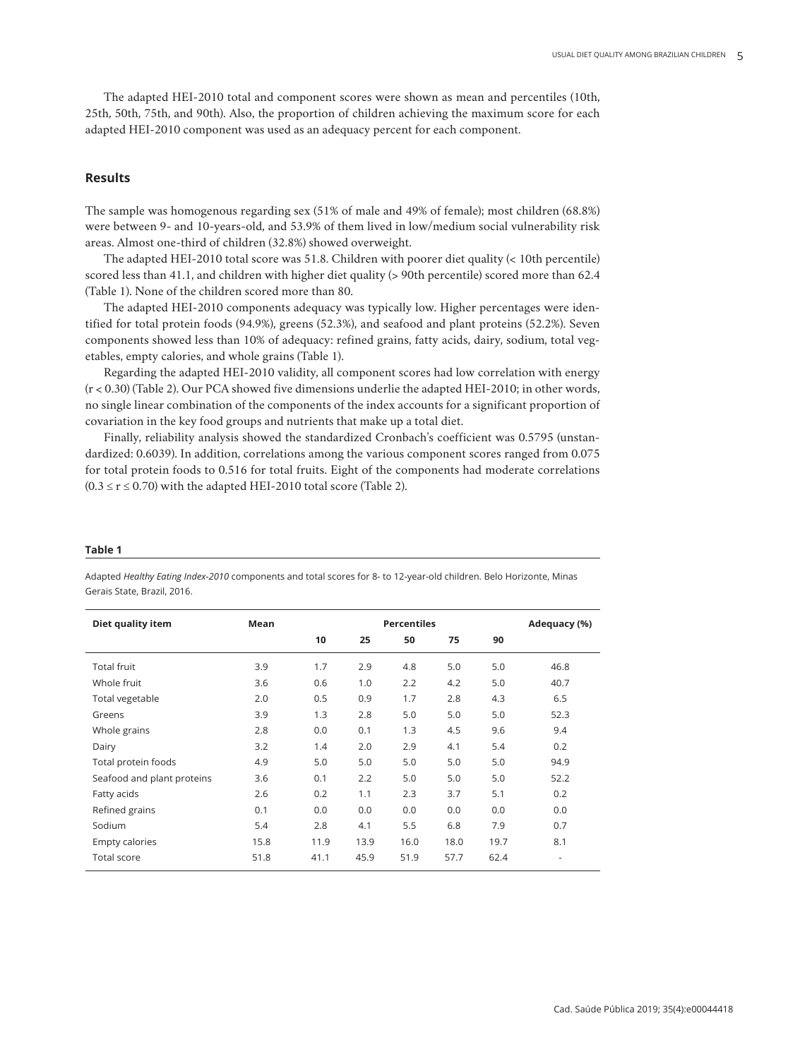The adapted HEI-2010 total and component scores were shown as mean and percentiles (10th, 25th, 50th, 75th, and 90th). Also, the proportion of children achieving the maximum score for each adapted HEI-2010 component was used as an adequacy percent for each component.

# **Results**

The sample was homogenous regarding sex (51% of male and 49% of female); most children (68.8%) were between 9- and 10-years-old, and 53.9% of them lived in low/medium social vulnerability risk areas. Almost one-third of children (32.8%) showed overweight.

The adapted HEI-2010 total score was 51.8. Children with poorer diet quality (< 10th percentile) scored less than 41.1, and children with higher diet quality (> 90th percentile) scored more than 62.4 (Table 1). None of the children scored more than 80.

The adapted HEI-2010 components adequacy was typically low. Higher percentages were identified for total protein foods (94.9%), greens (52.3%), and seafood and plant proteins (52.2%). Seven components showed less than 10% of adequacy: refined grains, fatty acids, dairy, sodium, total vegetables, empty calories, and whole grains (Table 1).

Regarding the adapted HEI-2010 validity, all component scores had low correlation with energy (r < 0.30) (Table 2). Our PCA showed five dimensions underlie the adapted HEI-2010; in other words, no single linear combination of the components of the index accounts for a significant proportion of covariation in the key food groups and nutrients that make up a total diet.

Finally, reliability analysis showed the standardized Cronbach's coefficient was 0.5795 (unstandardized: 0.6039). In addition, correlations among the various component scores ranged from 0.075 for total protein foods to 0.516 for total fruits. Eight of the components had moderate correlations  $(0.3 \le r \le 0.70)$  with the adapted HEI-2010 total score (Table 2).

#### **Table 1**

Adapted *Healthy Eating Index-2010* components and total scores for 8- to 12-year-old children. Belo Horizonte, Minas Gerais State, Brazil, 2016.

| Diet quality item          | Mean |      |      | <b>Percentiles</b> |      |      | Adequacy (%)             |
|----------------------------|------|------|------|--------------------|------|------|--------------------------|
|                            |      | 10   | 25   | 50                 | 75   | 90   |                          |
| <b>Total fruit</b>         | 3.9  | 1.7  | 2.9  | 4.8                | 5.0  | 5.0  | 46.8                     |
| Whole fruit                | 3.6  | 0.6  | 1.0  | 2.2                | 4.2  | 5.0  | 40.7                     |
| Total vegetable            | 2.0  | 0.5  | 0.9  | 1.7                | 2.8  | 4.3  | 6.5                      |
| Greens                     | 3.9  | 1.3  | 2.8  | 5.0                | 5.0  | 5.0  | 52.3                     |
| Whole grains               | 2.8  | 0.0  | 0.1  | 1.3                | 4.5  | 9.6  | 9.4                      |
| Dairy                      | 3.2  | 1.4  | 2.0  | 2.9                | 4.1  | 5.4  | 0.2                      |
| Total protein foods        | 4.9  | 5.0  | 5.0  | 5.0                | 5.0  | 5.0  | 94.9                     |
| Seafood and plant proteins | 3.6  | 0.1  | 2.2  | 5.0                | 5.0  | 5.0  | 52.2                     |
| Fatty acids                | 2.6  | 0.2  | 1.1  | 2.3                | 3.7  | 5.1  | 0.2                      |
| Refined grains             | 0.1  | 0.0  | 0.0  | 0.0                | 0.0  | 0.0  | 0.0                      |
| Sodium                     | 5.4  | 2.8  | 4.1  | 5.5                | 6.8  | 7.9  | 0.7                      |
| Empty calories             | 15.8 | 11.9 | 13.9 | 16.0               | 18.0 | 19.7 | 8.1                      |
| <b>Total score</b>         | 51.8 | 41.1 | 45.9 | 51.9               | 57.7 | 62.4 | $\overline{\phantom{a}}$ |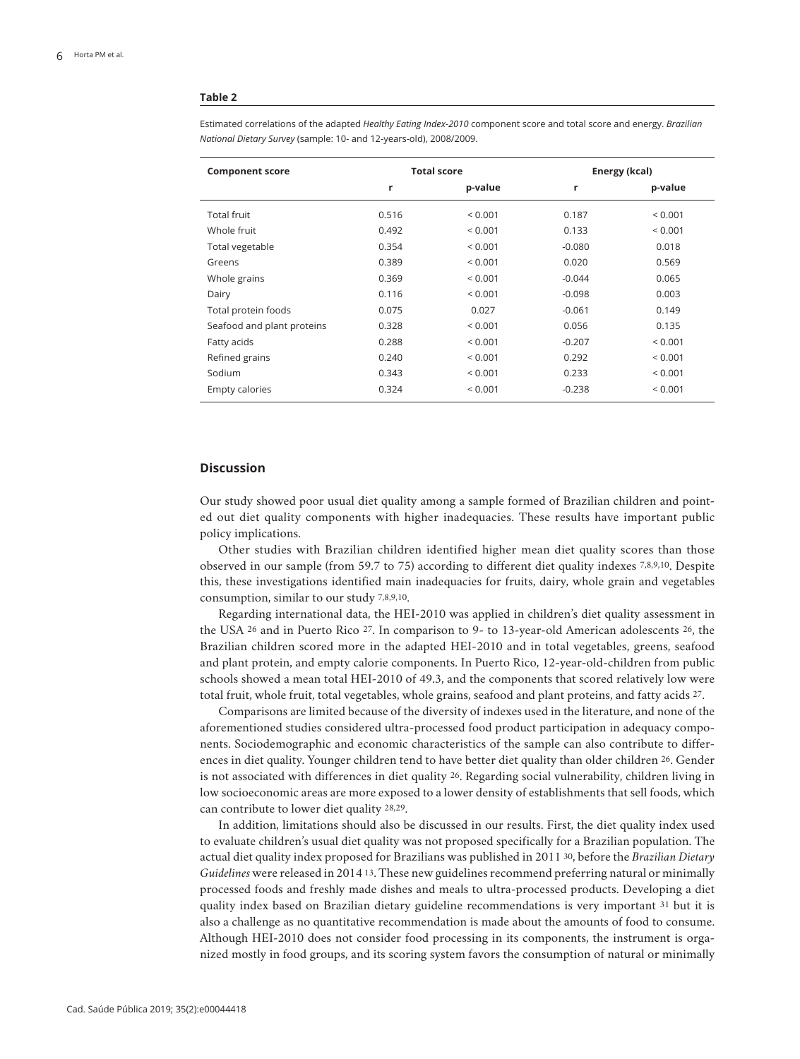#### **Table 2**

| <b>Component score</b>     |       | <b>Total score</b> | Energy (kcal) |              |  |
|----------------------------|-------|--------------------|---------------|--------------|--|
|                            | r     | p-value            | r             | p-value      |  |
| <b>Total fruit</b>         | 0.516 | < 0.001            | 0.187         | ${}_{0.001}$ |  |
| Whole fruit                | 0.492 | ${}_{0.001}$       | 0.133         | ${}_{0.001}$ |  |
| Total vegetable            | 0.354 | ${}_{0.001}$       | $-0.080$      | 0.018        |  |
| Greens                     | 0.389 | ${}_{0.001}$       | 0.020         | 0.569        |  |
| Whole grains               | 0.369 | ${}_{0.001}$       | $-0.044$      | 0.065        |  |
| Dairy                      | 0.116 | ${}_{0.001}$       | $-0.098$      | 0.003        |  |
| Total protein foods        | 0.075 | 0.027              | $-0.061$      | 0.149        |  |
| Seafood and plant proteins | 0.328 | ${}_{0.001}$       | 0.056         | 0.135        |  |
| Fatty acids                | 0.288 | ${}_{0.001}$       | $-0.207$      | < 0.001      |  |
| Refined grains             | 0.240 | ${}_{0.001}$       | 0.292         | ${}_{0.001}$ |  |
| Sodium                     | 0.343 | ${}_{0.001}$       | 0.233         | ${}_{0.001}$ |  |
| Empty calories             | 0.324 | < 0.001            | $-0.238$      | < 0.001      |  |
|                            |       |                    |               |              |  |

Estimated correlations of the adapted *Healthy Eating Index-2010* component score and total score and energy. *Brazilian National Dietary Survey* (sample: 10- and 12-years-old), 2008/2009.

## **Discussion**

Our study showed poor usual diet quality among a sample formed of Brazilian children and pointed out diet quality components with higher inadequacies. These results have important public policy implications.

Other studies with Brazilian children identified higher mean diet quality scores than those observed in our sample (from 59.7 to 75) according to different diet quality indexes 7,8,9,10. Despite this, these investigations identified main inadequacies for fruits, dairy, whole grain and vegetables consumption, similar to our study 7,8,9,10.

Regarding international data, the HEI-2010 was applied in children's diet quality assessment in the USA 26 and in Puerto Rico 27. In comparison to 9- to 13-year-old American adolescents 26, the Brazilian children scored more in the adapted HEI-2010 and in total vegetables, greens, seafood and plant protein, and empty calorie components. In Puerto Rico, 12-year-old-children from public schools showed a mean total HEI-2010 of 49.3, and the components that scored relatively low were total fruit, whole fruit, total vegetables, whole grains, seafood and plant proteins, and fatty acids 27.

Comparisons are limited because of the diversity of indexes used in the literature, and none of the aforementioned studies considered ultra-processed food product participation in adequacy components. Sociodemographic and economic characteristics of the sample can also contribute to differences in diet quality. Younger children tend to have better diet quality than older children 26. Gender is not associated with differences in diet quality 26. Regarding social vulnerability, children living in low socioeconomic areas are more exposed to a lower density of establishments that sell foods, which can contribute to lower diet quality 28,29.

In addition, limitations should also be discussed in our results. First, the diet quality index used to evaluate children's usual diet quality was not proposed specifically for a Brazilian population. The actual diet quality index proposed for Brazilians was published in 2011 30, before the *Brazilian Dietary Guidelines* were released in 2014 13. These new guidelines recommend preferring natural or minimally processed foods and freshly made dishes and meals to ultra-processed products. Developing a diet quality index based on Brazilian dietary guideline recommendations is very important <sup>31</sup> but it is also a challenge as no quantitative recommendation is made about the amounts of food to consume. Although HEI-2010 does not consider food processing in its components, the instrument is organized mostly in food groups, and its scoring system favors the consumption of natural or minimally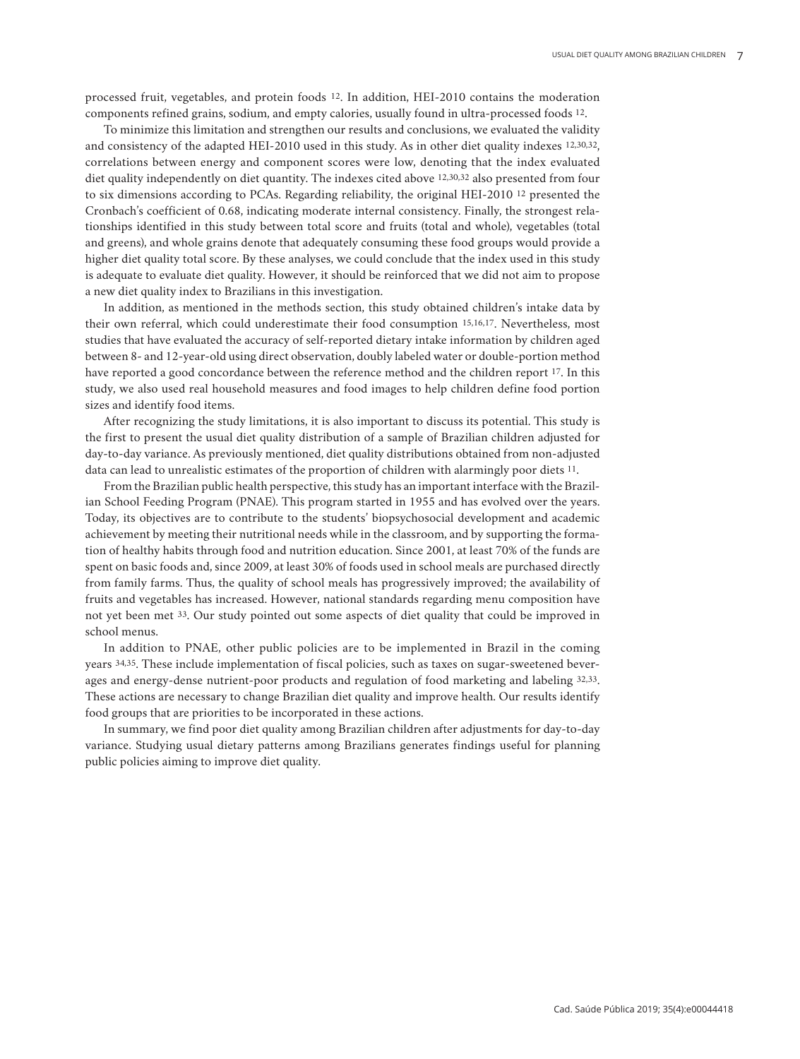processed fruit, vegetables, and protein foods 12. In addition, HEI-2010 contains the moderation components refined grains, sodium, and empty calories, usually found in ultra-processed foods 12.

To minimize this limitation and strengthen our results and conclusions, we evaluated the validity and consistency of the adapted HEI-2010 used in this study. As in other diet quality indexes 12,30,32, correlations between energy and component scores were low, denoting that the index evaluated diet quality independently on diet quantity. The indexes cited above 12,30,32 also presented from four to six dimensions according to PCAs. Regarding reliability, the original HEI-2010 12 presented the Cronbach's coefficient of 0.68, indicating moderate internal consistency. Finally, the strongest relationships identified in this study between total score and fruits (total and whole), vegetables (total and greens), and whole grains denote that adequately consuming these food groups would provide a higher diet quality total score. By these analyses, we could conclude that the index used in this study is adequate to evaluate diet quality. However, it should be reinforced that we did not aim to propose a new diet quality index to Brazilians in this investigation.

In addition, as mentioned in the methods section, this study obtained children's intake data by their own referral, which could underestimate their food consumption 15,16,17. Nevertheless, most studies that have evaluated the accuracy of self-reported dietary intake information by children aged between 8- and 12-year-old using direct observation, doubly labeled water or double-portion method have reported a good concordance between the reference method and the children report 17. In this study, we also used real household measures and food images to help children define food portion sizes and identify food items.

After recognizing the study limitations, it is also important to discuss its potential. This study is the first to present the usual diet quality distribution of a sample of Brazilian children adjusted for day-to-day variance. As previously mentioned, diet quality distributions obtained from non-adjusted data can lead to unrealistic estimates of the proportion of children with alarmingly poor diets 11.

From the Brazilian public health perspective, this study has an important interface with the Brazilian School Feeding Program (PNAE). This program started in 1955 and has evolved over the years. Today, its objectives are to contribute to the students' biopsychosocial development and academic achievement by meeting their nutritional needs while in the classroom, and by supporting the formation of healthy habits through food and nutrition education. Since 2001, at least 70% of the funds are spent on basic foods and, since 2009, at least 30% of foods used in school meals are purchased directly from family farms. Thus, the quality of school meals has progressively improved; the availability of fruits and vegetables has increased. However, national standards regarding menu composition have not yet been met 33. Our study pointed out some aspects of diet quality that could be improved in school menus.

In addition to PNAE, other public policies are to be implemented in Brazil in the coming years 34,35. These include implementation of fiscal policies, such as taxes on sugar-sweetened beverages and energy-dense nutrient-poor products and regulation of food marketing and labeling 32,33. These actions are necessary to change Brazilian diet quality and improve health. Our results identify food groups that are priorities to be incorporated in these actions.

In summary, we find poor diet quality among Brazilian children after adjustments for day-to-day variance. Studying usual dietary patterns among Brazilians generates findings useful for planning public policies aiming to improve diet quality.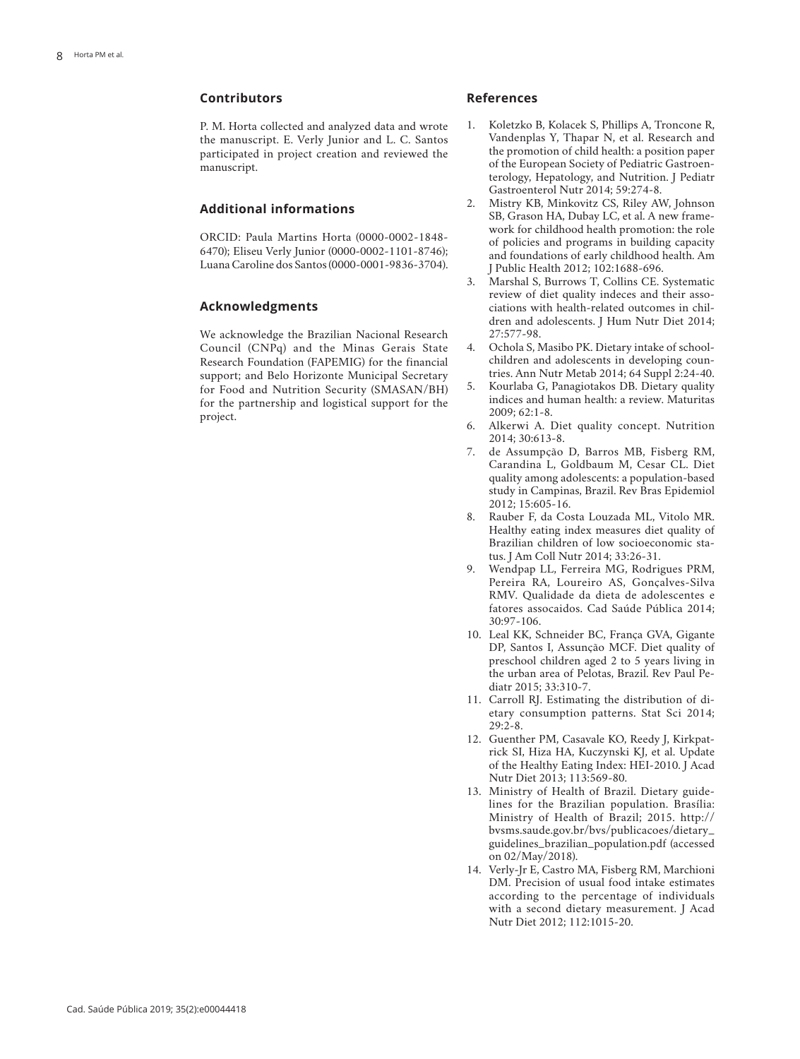## **Contributors**

P. M. Horta collected and analyzed data and wrote the manuscript. E. Verly Junior and L. C. Santos participated in project creation and reviewed the manuscript.

## **Additional informations**

ORCID: Paula Martins Horta (0000-0002-1848- 6470); Eliseu Verly Junior (0000-0002-1101-8746); Luana Caroline dos Santos (0000-0001-9836-3704).

## **Acknowledgments**

We acknowledge the Brazilian Nacional Research Council (CNPq) and the Minas Gerais State Research Foundation (FAPEMIG) for the financial support; and Belo Horizonte Municipal Secretary for Food and Nutrition Security (SMASAN/BH) for the partnership and logistical support for the project.

## **References**

- 1. Koletzko B, Kolacek S, Phillips A, Troncone R, Vandenplas Y, Thapar N, et al. Research and the promotion of child health: a position paper of the European Society of Pediatric Gastroen terology, Hepatology, and Nutrition. J Pediatr Gastroenterol Nutr 2014; 59:274-8.
- 2. Mistry KB, Minkovitz CS, Riley AW, Johnson SB, Grason HA, Dubay LC, et al. A new frame work for childhood health promotion: the role of policies and programs in building capacity and foundations of early childhood health. Am J Public Health 2012; 102:1688-696.
- 3. Marshal S, Burrows T, Collins CE. Systematic review of diet quality indeces and their asso ciations with health-related outcomes in chil dren and adolescents. J Hum Nutr Diet 2014; 27:577-98.
- 4. Ochola S, Masibo PK. Dietary intake of school children and adolescents in developing coun tries. Ann Nutr Metab 2014; 64 Suppl 2:24-40.
- 5. Kourlaba G, Panagiotakos DB. Dietary quality indices and human health: a review. Maturitas 2009; 62:1-8.
- 6. Alkerwi A. Diet quality concept. Nutrition 2014; 30:613-8.
- 7. de Assumpção D, Barros MB, Fisberg RM, Carandina L, Goldbaum M, Cesar CL. Diet quality among adolescents: a population-based study in Campinas, Brazil. Rev Bras Epidemiol 2012; 15:605-16.
- 8. Rauber F, da Costa Louzada ML, Vitolo MR. Healthy eating index measures diet quality of Brazilian children of low socioeconomic sta tus. J Am Coll Nutr 2014; 33:26-31.
- 9. Wendpap LL, Ferreira MG, Rodrigues PRM, Pereira RA, Loureiro AS, Gonçalves-Silva RMV. Qualidade da dieta de adolescentes e fatores assocaidos. Cad Saúde Pública 2014; 30:97-106.
- 10. Leal KK, Schneider BC, França GVA, Gigante DP, Santos I, Assunção MCF. Diet quality of preschool children aged 2 to 5 years living in the urban area of Pelotas, Brazil. Rev Paul Pe diatr 2015; 33:310-7.
- 11. Carroll RJ. Estimating the distribution of di etary consumption patterns. Stat Sci 2014;  $29.2 - 8$
- 12. Guenther PM, Casavale KO, Reedy J, Kirkpat rick SI, Hiza HA, Kuczynski KJ, et al. Update of the Healthy Eating Index: HEI-2010. J Acad Nutr Diet 2013; 113:569-80.
- 13. Ministry of Health of Brazil. Dietary guide lines for the Brazilian population. Brasília: Ministry of Health of Brazil; 2015. http:// bvsms.saude.gov.br/bvs/publicacoes/dietary\_ guidelines\_brazilian\_population.pdf (accessed on 02/May/2018).
- 14. Verly-Jr E, Castro MA, Fisberg RM, Marchioni DM. Precision of usual food intake estimates according to the percentage of individuals with a second dietary measurement. J Acad Nutr Diet 2012; 112:1015-20.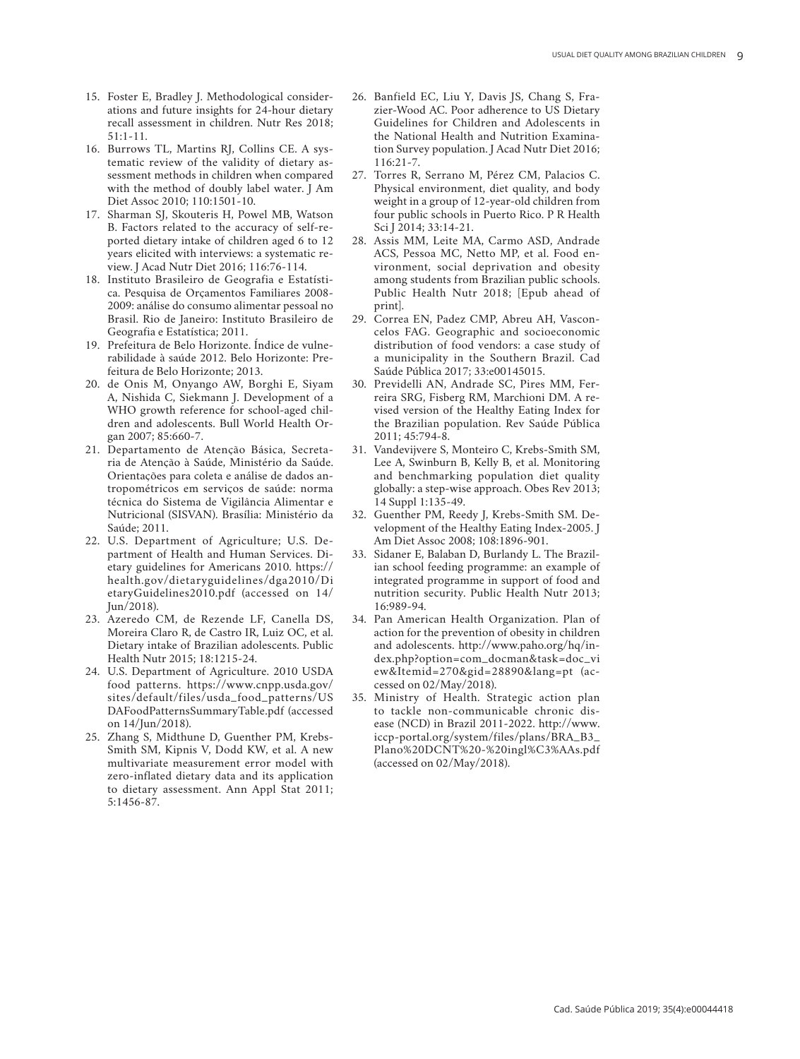- 15. Foster E, Bradley J. Methodological consider ations and future insights for 24-hour dietary recall assessment in children. Nutr Res 2018; 51:1-11.
- 16. Burrows TL, Martins RJ, Collins CE. A sys tematic review of the validity of dietary as sessment methods in children when compared with the method of doubly label water. J Am Diet Assoc 2010; 110:1501-10.
- 17. Sharman SJ, Skouteris H, Powel MB, Watson B. Factors related to the accuracy of self-re ported dietary intake of children aged 6 to 12 years elicited with interviews: a systematic re view. J Acad Nutr Diet 2016; 116:76-114.
- 18. Instituto Brasileiro de Geografia e Estatísti ca. Pesquisa de Orçamentos Familiares 2008- 2009: análise do consumo alimentar pessoal no Brasil. Rio de Janeiro: Instituto Brasileiro de Geografia e Estatística; 2011.
- 19. Prefeitura de Belo Horizonte. Índice de vulne rabilidade à saúde 2012. Belo Horizonte: Pre feitura de Belo Horizonte; 2013.
- 20. de Onis M, Onyango AW, Borghi E, Siyam A, Nishida C, Siekmann J. Development of a WHO growth reference for school-aged chil dren and adolescents. Bull World Health Or gan 2007; 85:660-7.
- 21. Departamento de Atenção Básica, Secreta ria de Atenção à Saúde, Ministério da Saúde. Orientações para coleta e análise de dados an tropométricos em serviços de saúde: norma técnica do Sistema de Vigilância Alimentar e Nutricional (SISVAN). Brasília: Ministério da Saúde; 2011.
- 22. U.S. Department of Agriculture; U.S. De partment of Health and Human Services. Di etary guidelines for Americans 2010. https:// health.gov/dietaryguidelines/dga2010/Di etaryGuidelines2010.pdf (accessed on 14/ Jun/2018).
- 23. Azeredo CM, de Rezende LF, Canella DS, Moreira Claro R, de Castro IR, Luiz OC, et al. Dietary intake of Brazilian adolescents. Public Health Nutr 2015; 18:1215-24.
- 24. U.S. Department of Agriculture. 2010 USDA food patterns. https://www.cnpp.usda.gov/ sites/default/files/usda\_food\_patterns/US DAFoodPatternsSummaryTable.pdf (accessed on 14/Jun/2018).
- 25. Zhang S, Midthune D, Guenther PM, Krebs-Smith SM, Kipnis V, Dodd KW, et al. A new multivariate measurement error model with zero-inflated dietary data and its application to dietary assessment. Ann Appl Stat 2011; 5:1456-87.
- 26. Banfield EC, Liu Y, Davis JS, Chang S, Fra zier-Wood AC. Poor adherence to US Dietary Guidelines for Children and Adolescents in the National Health and Nutrition Examina tion Survey population. J Acad Nutr Diet 2016; 116:21-7.
- 27. Torres R, Serrano M, Pérez CM, Palacios C. Physical environment, diet quality, and body weight in a group of 12-year-old children from four public schools in Puerto Rico. P R Health Sci J 2014; 33:14-21.
- 28. Assis MM, Leite MA, Carmo ASD, Andrade ACS, Pessoa MC, Netto MP, et al. Food en vironment, social deprivation and obesity among students from Brazilian public schools. Public Health Nutr 2018; [Epub ahead of print].
- 29. Correa EN, Padez CMP, Abreu AH, Vascon celos FAG. Geographic and socioeconomic distribution of food vendors: a case study of a municipality in the Southern Brazil. Cad Saúde Pública 2017; 33:e00145015.
- 30. Previdelli AN, Andrade SC, Pires MM, Fer reira SRG, Fisberg RM, Marchioni DM. A re vised version of the Healthy Eating Index for the Brazilian population. Rev Saúde Pública 2011; 45:794-8.
- 31. Vandevijvere S, Monteiro C, Krebs-Smith SM, Lee A, Swinburn B, Kelly B, et al. Monitoring and benchmarking population diet quality globally: a step-wise approach. Obes Rev 2013; 14 Suppl 1:135-49.
- 32. Guenther PM, Reedy J, Krebs-Smith SM. De velopment of the Healthy Eating Index-2005. J Am Diet Assoc 2008; 108:1896-901.
- 33. Sidaner E, Balaban D, Burlandy L. The Brazil ian school feeding programme: an example of integrated programme in support of food and nutrition security. Public Health Nutr 2013; 16:989-94.
- 34. Pan American Health Organization. Plan of action for the prevention of obesity in children and adolescents. http://www.paho.org/hq/in dex.php?option=com\_docman&task=doc\_vi ew&Itemid=270&gid=28890&lang=pt (ac cessed on 02/May/2018).
- 35. Ministry of Health. Strategic action plan to tackle non-communicable chronic dis ease (NCD) in Brazil 2011-2022. http://www. iccp-portal.org/system/files/plans/BRA\_B3\_ Plano%20DCNT%20-%20ingl%C3%AAs.pdf (accessed on 02/May/2018).